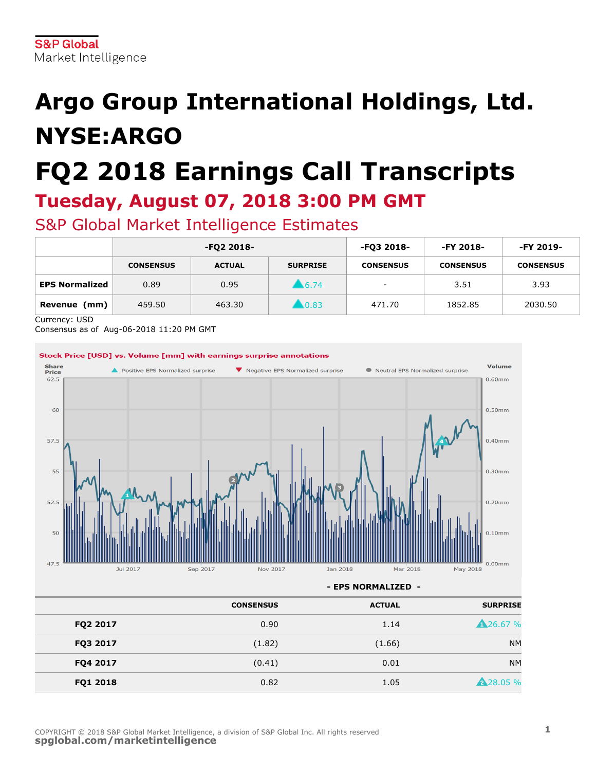# **Argo Group International Holdings, Ltd. NYSE:ARGO**

# **FQ2 2018 Earnings Call Transcripts Tuesday, August 07, 2018 3:00 PM GMT**

S&P Global Market Intelligence Estimates

|                       | -FQ2 2018-       |               |                     | -FQ3 2018-       | -FY 2018-        | -FY 2019-        |
|-----------------------|------------------|---------------|---------------------|------------------|------------------|------------------|
|                       | <b>CONSENSUS</b> | <b>ACTUAL</b> | <b>SURPRISE</b>     | <b>CONSENSUS</b> | <b>CONSENSUS</b> | <b>CONSENSUS</b> |
| <b>EPS Normalized</b> | 0.89             | 0.95          | 6.74                | $\sim$           | 3.51             | 3.93             |
| (mm)<br>Revenue       | 459.50           | 463.30        | $\blacksquare$ 0.83 | 471.70           | 1852.85          | 2030.50          |

Currency: USD

Consensus as of Aug-06-2018 11:20 PM GMT



**- EPS NORMALIZED -**

| <b>SURPRISE</b>  | <b>ACTUAL</b> | <b>CONSENSUS</b> |          |
|------------------|---------------|------------------|----------|
| <b>A</b> 26.67 % | 1.14          | 0.90             | FQ2 2017 |
| <b>NM</b>        | (1.66)        | (1.82)           | FQ3 2017 |
| <b>NM</b>        | 0.01          | (0.41)           | FQ4 2017 |
| <b>A</b> 28.05 % | 1.05          | 0.82             | FQ1 2018 |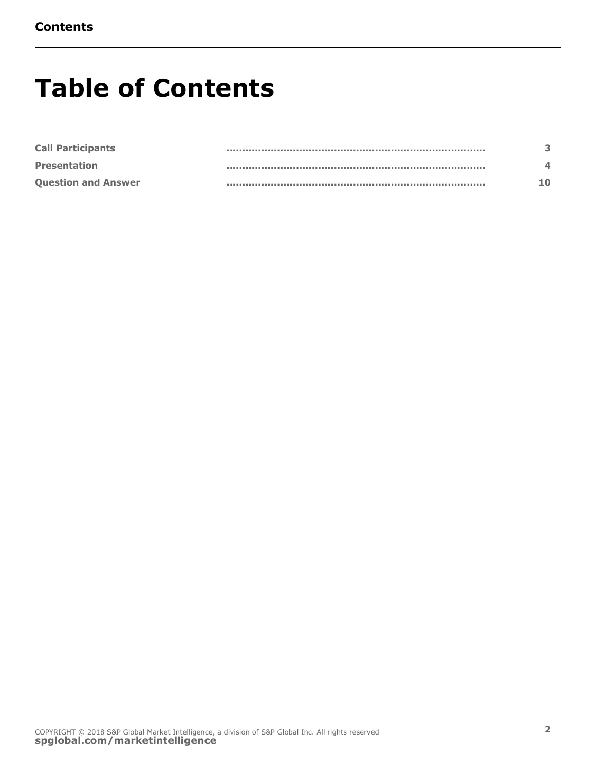# **Table of Contents**

| <b>Call Participants</b>   |  |
|----------------------------|--|
| <b>Presentation</b>        |  |
| <b>Question and Answer</b> |  |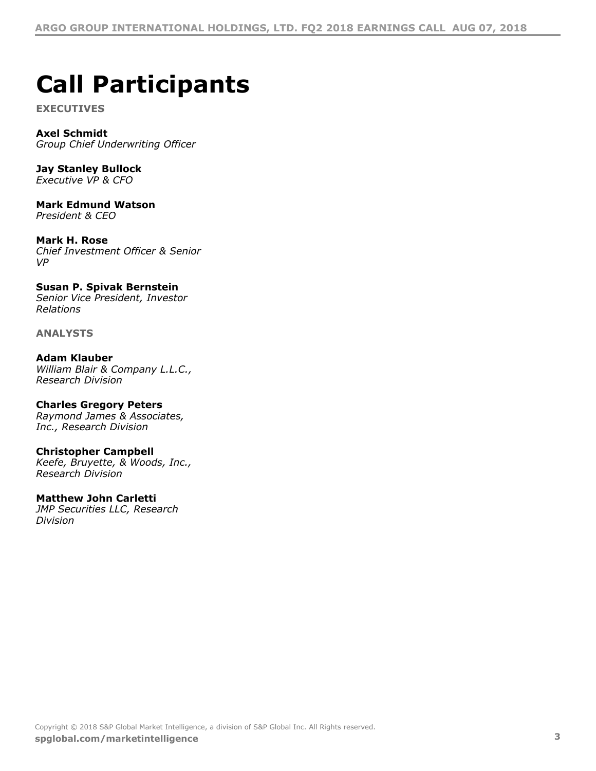# <span id="page-2-0"></span>**Call Participants**

**EXECUTIVES**

**Axel Schmidt** *Group Chief Underwriting Officer*

**Jay Stanley Bullock** *Executive VP & CFO*

**Mark Edmund Watson** *President & CEO*

**Mark H. Rose** *Chief Investment Officer & Senior VP*

**Susan P. Spivak Bernstein** *Senior Vice President, Investor Relations*

**ANALYSTS**

**Adam Klauber** *William Blair & Company L.L.C., Research Division*

**Charles Gregory Peters** *Raymond James & Associates, Inc., Research Division*

#### **Christopher Campbell** *Keefe, Bruyette, & Woods, Inc., Research Division*

**Matthew John Carletti**

*JMP Securities LLC, Research Division*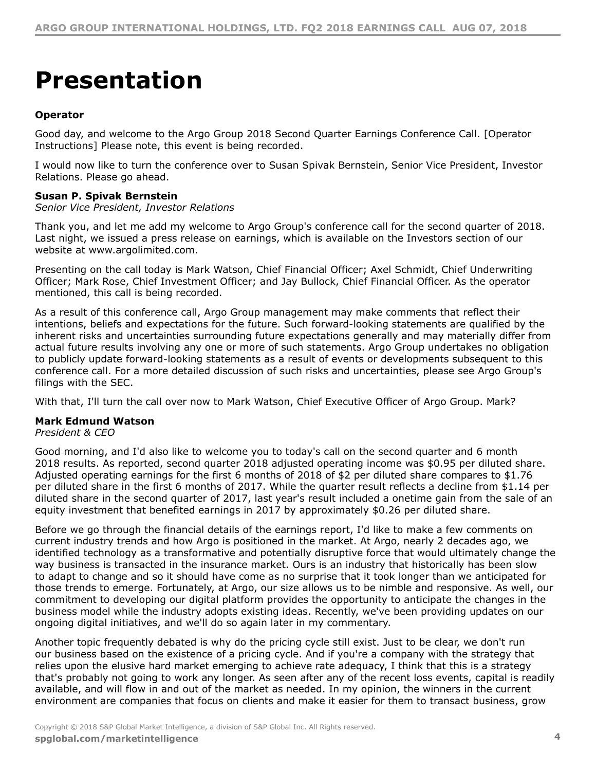# <span id="page-3-0"></span>**Presentation**

# **Operator**

Good day, and welcome to the Argo Group 2018 Second Quarter Earnings Conference Call. [Operator Instructions] Please note, this event is being recorded.

I would now like to turn the conference over to Susan Spivak Bernstein, Senior Vice President, Investor Relations. Please go ahead.

# **Susan P. Spivak Bernstein**

*Senior Vice President, Investor Relations*

Thank you, and let me add my welcome to Argo Group's conference call for the second quarter of 2018. Last night, we issued a press release on earnings, which is available on the Investors section of our website at www.argolimited.com.

Presenting on the call today is Mark Watson, Chief Financial Officer; Axel Schmidt, Chief Underwriting Officer; Mark Rose, Chief Investment Officer; and Jay Bullock, Chief Financial Officer. As the operator mentioned, this call is being recorded.

As a result of this conference call, Argo Group management may make comments that reflect their intentions, beliefs and expectations for the future. Such forward-looking statements are qualified by the inherent risks and uncertainties surrounding future expectations generally and may materially differ from actual future results involving any one or more of such statements. Argo Group undertakes no obligation to publicly update forward-looking statements as a result of events or developments subsequent to this conference call. For a more detailed discussion of such risks and uncertainties, please see Argo Group's filings with the SEC.

With that, I'll turn the call over now to Mark Watson, Chief Executive Officer of Argo Group. Mark?

# **Mark Edmund Watson**

*President & CEO*

Good morning, and I'd also like to welcome you to today's call on the second quarter and 6 month 2018 results. As reported, second quarter 2018 adjusted operating income was \$0.95 per diluted share. Adjusted operating earnings for the first 6 months of 2018 of \$2 per diluted share compares to \$1.76 per diluted share in the first 6 months of 2017. While the quarter result reflects a decline from \$1.14 per diluted share in the second quarter of 2017, last year's result included a onetime gain from the sale of an equity investment that benefited earnings in 2017 by approximately \$0.26 per diluted share.

Before we go through the financial details of the earnings report, I'd like to make a few comments on current industry trends and how Argo is positioned in the market. At Argo, nearly 2 decades ago, we identified technology as a transformative and potentially disruptive force that would ultimately change the way business is transacted in the insurance market. Ours is an industry that historically has been slow to adapt to change and so it should have come as no surprise that it took longer than we anticipated for those trends to emerge. Fortunately, at Argo, our size allows us to be nimble and responsive. As well, our commitment to developing our digital platform provides the opportunity to anticipate the changes in the business model while the industry adopts existing ideas. Recently, we've been providing updates on our ongoing digital initiatives, and we'll do so again later in my commentary.

Another topic frequently debated is why do the pricing cycle still exist. Just to be clear, we don't run our business based on the existence of a pricing cycle. And if you're a company with the strategy that relies upon the elusive hard market emerging to achieve rate adequacy, I think that this is a strategy that's probably not going to work any longer. As seen after any of the recent loss events, capital is readily available, and will flow in and out of the market as needed. In my opinion, the winners in the current environment are companies that focus on clients and make it easier for them to transact business, grow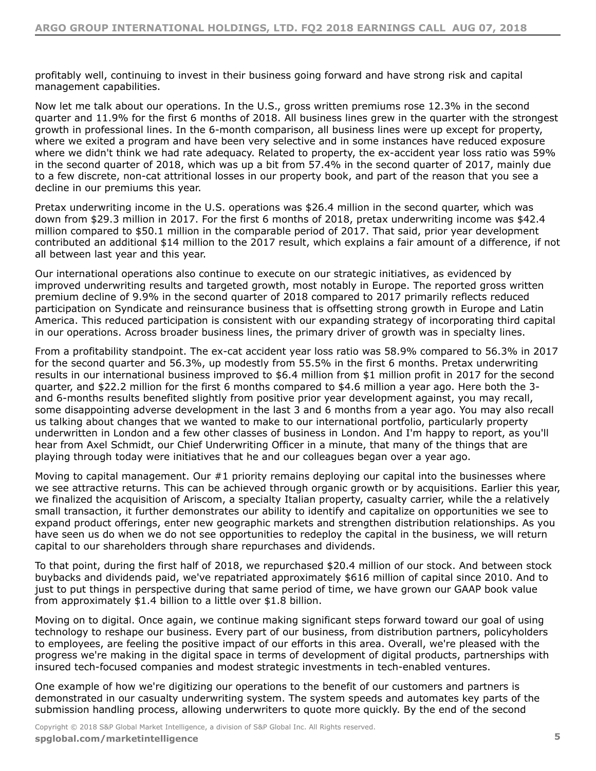profitably well, continuing to invest in their business going forward and have strong risk and capital management capabilities.

Now let me talk about our operations. In the U.S., gross written premiums rose 12.3% in the second quarter and 11.9% for the first 6 months of 2018. All business lines grew in the quarter with the strongest growth in professional lines. In the 6-month comparison, all business lines were up except for property, where we exited a program and have been very selective and in some instances have reduced exposure where we didn't think we had rate adequacy. Related to property, the ex-accident year loss ratio was 59% in the second quarter of 2018, which was up a bit from 57.4% in the second quarter of 2017, mainly due to a few discrete, non-cat attritional losses in our property book, and part of the reason that you see a decline in our premiums this year.

Pretax underwriting income in the U.S. operations was \$26.4 million in the second quarter, which was down from \$29.3 million in 2017. For the first 6 months of 2018, pretax underwriting income was \$42.4 million compared to \$50.1 million in the comparable period of 2017. That said, prior year development contributed an additional \$14 million to the 2017 result, which explains a fair amount of a difference, if not all between last year and this year.

Our international operations also continue to execute on our strategic initiatives, as evidenced by improved underwriting results and targeted growth, most notably in Europe. The reported gross written premium decline of 9.9% in the second quarter of 2018 compared to 2017 primarily reflects reduced participation on Syndicate and reinsurance business that is offsetting strong growth in Europe and Latin America. This reduced participation is consistent with our expanding strategy of incorporating third capital in our operations. Across broader business lines, the primary driver of growth was in specialty lines.

From a profitability standpoint. The ex-cat accident year loss ratio was 58.9% compared to 56.3% in 2017 for the second quarter and 56.3%, up modestly from 55.5% in the first 6 months. Pretax underwriting results in our international business improved to \$6.4 million from \$1 million profit in 2017 for the second quarter, and \$22.2 million for the first 6 months compared to \$4.6 million a year ago. Here both the 3 and 6-months results benefited slightly from positive prior year development against, you may recall, some disappointing adverse development in the last 3 and 6 months from a year ago. You may also recall us talking about changes that we wanted to make to our international portfolio, particularly property underwritten in London and a few other classes of business in London. And I'm happy to report, as you'll hear from Axel Schmidt, our Chief Underwriting Officer in a minute, that many of the things that are playing through today were initiatives that he and our colleagues began over a year ago.

Moving to capital management. Our #1 priority remains deploying our capital into the businesses where we see attractive returns. This can be achieved through organic growth or by acquisitions. Earlier this year, we finalized the acquisition of Ariscom, a specialty Italian property, casualty carrier, while the a relatively small transaction, it further demonstrates our ability to identify and capitalize on opportunities we see to expand product offerings, enter new geographic markets and strengthen distribution relationships. As you have seen us do when we do not see opportunities to redeploy the capital in the business, we will return capital to our shareholders through share repurchases and dividends.

To that point, during the first half of 2018, we repurchased \$20.4 million of our stock. And between stock buybacks and dividends paid, we've repatriated approximately \$616 million of capital since 2010. And to just to put things in perspective during that same period of time, we have grown our GAAP book value from approximately \$1.4 billion to a little over \$1.8 billion.

Moving on to digital. Once again, we continue making significant steps forward toward our goal of using technology to reshape our business. Every part of our business, from distribution partners, policyholders to employees, are feeling the positive impact of our efforts in this area. Overall, we're pleased with the progress we're making in the digital space in terms of development of digital products, partnerships with insured tech-focused companies and modest strategic investments in tech-enabled ventures.

One example of how we're digitizing our operations to the benefit of our customers and partners is demonstrated in our casualty underwriting system. The system speeds and automates key parts of the submission handling process, allowing underwriters to quote more quickly. By the end of the second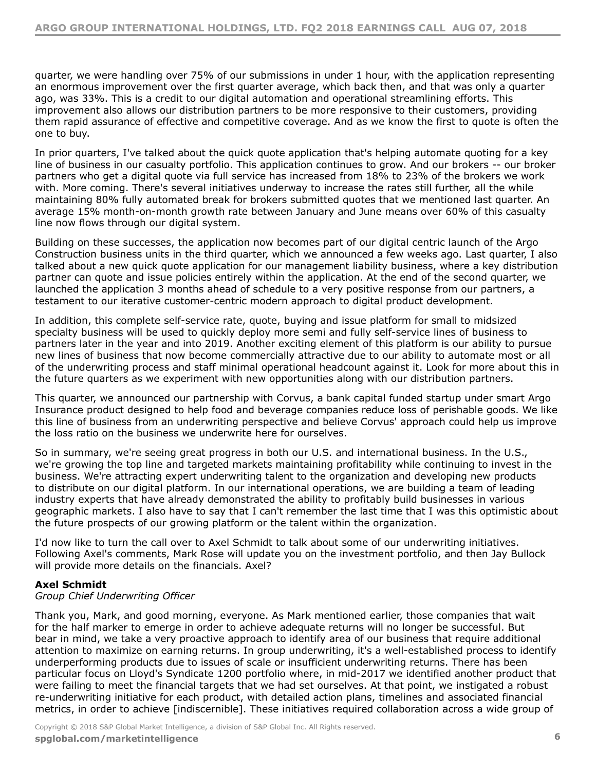quarter, we were handling over 75% of our submissions in under 1 hour, with the application representing an enormous improvement over the first quarter average, which back then, and that was only a quarter ago, was 33%. This is a credit to our digital automation and operational streamlining efforts. This improvement also allows our distribution partners to be more responsive to their customers, providing them rapid assurance of effective and competitive coverage. And as we know the first to quote is often the one to buy.

In prior quarters, I've talked about the quick quote application that's helping automate quoting for a key line of business in our casualty portfolio. This application continues to grow. And our brokers -- our broker partners who get a digital quote via full service has increased from 18% to 23% of the brokers we work with. More coming. There's several initiatives underway to increase the rates still further, all the while maintaining 80% fully automated break for brokers submitted quotes that we mentioned last quarter. An average 15% month-on-month growth rate between January and June means over 60% of this casualty line now flows through our digital system.

Building on these successes, the application now becomes part of our digital centric launch of the Argo Construction business units in the third quarter, which we announced a few weeks ago. Last quarter, I also talked about a new quick quote application for our management liability business, where a key distribution partner can quote and issue policies entirely within the application. At the end of the second quarter, we launched the application 3 months ahead of schedule to a very positive response from our partners, a testament to our iterative customer-centric modern approach to digital product development.

In addition, this complete self-service rate, quote, buying and issue platform for small to midsized specialty business will be used to quickly deploy more semi and fully self-service lines of business to partners later in the year and into 2019. Another exciting element of this platform is our ability to pursue new lines of business that now become commercially attractive due to our ability to automate most or all of the underwriting process and staff minimal operational headcount against it. Look for more about this in the future quarters as we experiment with new opportunities along with our distribution partners.

This quarter, we announced our partnership with Corvus, a bank capital funded startup under smart Argo Insurance product designed to help food and beverage companies reduce loss of perishable goods. We like this line of business from an underwriting perspective and believe Corvus' approach could help us improve the loss ratio on the business we underwrite here for ourselves.

So in summary, we're seeing great progress in both our U.S. and international business. In the U.S., we're growing the top line and targeted markets maintaining profitability while continuing to invest in the business. We're attracting expert underwriting talent to the organization and developing new products to distribute on our digital platform. In our international operations, we are building a team of leading industry experts that have already demonstrated the ability to profitably build businesses in various geographic markets. I also have to say that I can't remember the last time that I was this optimistic about the future prospects of our growing platform or the talent within the organization.

I'd now like to turn the call over to Axel Schmidt to talk about some of our underwriting initiatives. Following Axel's comments, Mark Rose will update you on the investment portfolio, and then Jay Bullock will provide more details on the financials. Axel?

# **Axel Schmidt**

# *Group Chief Underwriting Officer*

Thank you, Mark, and good morning, everyone. As Mark mentioned earlier, those companies that wait for the half marker to emerge in order to achieve adequate returns will no longer be successful. But bear in mind, we take a very proactive approach to identify area of our business that require additional attention to maximize on earning returns. In group underwriting, it's a well-established process to identify underperforming products due to issues of scale or insufficient underwriting returns. There has been particular focus on Lloyd's Syndicate 1200 portfolio where, in mid-2017 we identified another product that were failing to meet the financial targets that we had set ourselves. At that point, we instigated a robust re-underwriting initiative for each product, with detailed action plans, timelines and associated financial metrics, in order to achieve [indiscernible]. These initiatives required collaboration across a wide group of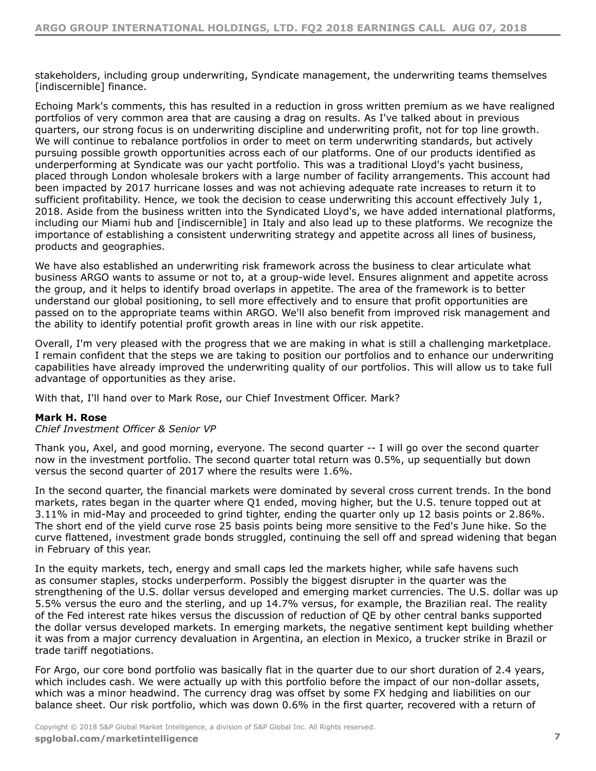stakeholders, including group underwriting, Syndicate management, the underwriting teams themselves [indiscernible] finance.

Echoing Mark's comments, this has resulted in a reduction in gross written premium as we have realigned portfolios of very common area that are causing a drag on results. As I've talked about in previous quarters, our strong focus is on underwriting discipline and underwriting profit, not for top line growth. We will continue to rebalance portfolios in order to meet on term underwriting standards, but actively pursuing possible growth opportunities across each of our platforms. One of our products identified as underperforming at Syndicate was our yacht portfolio. This was a traditional Lloyd's yacht business, placed through London wholesale brokers with a large number of facility arrangements. This account had been impacted by 2017 hurricane losses and was not achieving adequate rate increases to return it to sufficient profitability. Hence, we took the decision to cease underwriting this account effectively July 1. 2018. Aside from the business written into the Syndicated Lloyd's, we have added international platforms, including our Miami hub and [indiscernible] in Italy and also lead up to these platforms. We recognize the importance of establishing a consistent underwriting strategy and appetite across all lines of business, products and geographies.

We have also established an underwriting risk framework across the business to clear articulate what business ARGO wants to assume or not to, at a group-wide level. Ensures alignment and appetite across the group, and it helps to identify broad overlaps in appetite. The area of the framework is to better understand our global positioning, to sell more effectively and to ensure that profit opportunities are passed on to the appropriate teams within ARGO. We'll also benefit from improved risk management and the ability to identify potential profit growth areas in line with our risk appetite.

Overall, I'm very pleased with the progress that we are making in what is still a challenging marketplace. I remain confident that the steps we are taking to position our portfolios and to enhance our underwriting capabilities have already improved the underwriting quality of our portfolios. This will allow us to take full advantage of opportunities as they arise.

With that, I'll hand over to Mark Rose, our Chief Investment Officer. Mark?

# **Mark H. Rose**

*Chief Investment Officer & Senior VP*

Thank you, Axel, and good morning, everyone. The second quarter -- I will go over the second quarter now in the investment portfolio. The second quarter total return was 0.5%, up sequentially but down versus the second quarter of 2017 where the results were 1.6%.

In the second quarter, the financial markets were dominated by several cross current trends. In the bond markets, rates began in the quarter where Q1 ended, moving higher, but the U.S. tenure topped out at 3.11% in mid-May and proceeded to grind tighter, ending the quarter only up 12 basis points or 2.86%. The short end of the yield curve rose 25 basis points being more sensitive to the Fed's June hike. So the curve flattened, investment grade bonds struggled, continuing the sell off and spread widening that began in February of this year.

In the equity markets, tech, energy and small caps led the markets higher, while safe havens such as consumer staples, stocks underperform. Possibly the biggest disrupter in the quarter was the strengthening of the U.S. dollar versus developed and emerging market currencies. The U.S. dollar was up 5.5% versus the euro and the sterling, and up 14.7% versus, for example, the Brazilian real. The reality of the Fed interest rate hikes versus the discussion of reduction of QE by other central banks supported the dollar versus developed markets. In emerging markets, the negative sentiment kept building whether it was from a major currency devaluation in Argentina, an election in Mexico, a trucker strike in Brazil or trade tariff negotiations.

For Argo, our core bond portfolio was basically flat in the quarter due to our short duration of 2.4 years, which includes cash. We were actually up with this portfolio before the impact of our non-dollar assets, which was a minor headwind. The currency drag was offset by some FX hedging and liabilities on our balance sheet. Our risk portfolio, which was down 0.6% in the first quarter, recovered with a return of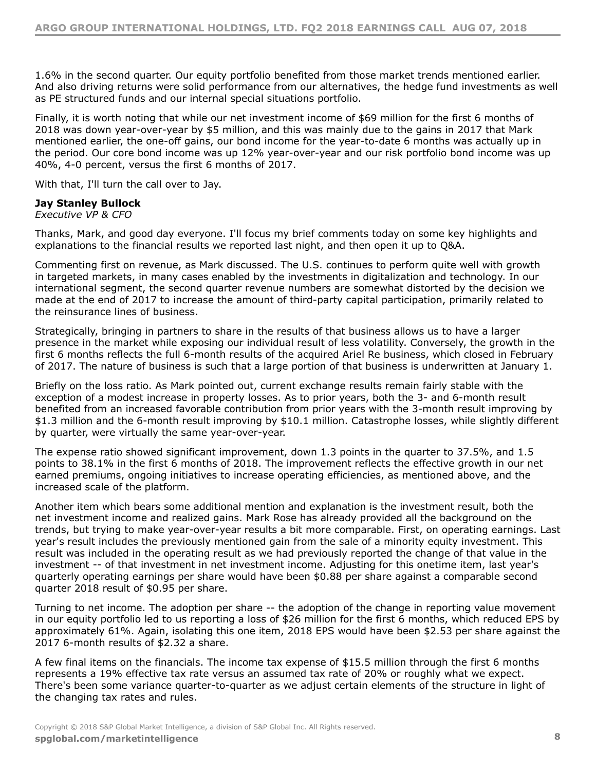1.6% in the second quarter. Our equity portfolio benefited from those market trends mentioned earlier. And also driving returns were solid performance from our alternatives, the hedge fund investments as well as PE structured funds and our internal special situations portfolio.

Finally, it is worth noting that while our net investment income of \$69 million for the first 6 months of 2018 was down year-over-year by \$5 million, and this was mainly due to the gains in 2017 that Mark mentioned earlier, the one-off gains, our bond income for the year-to-date 6 months was actually up in the period. Our core bond income was up 12% year-over-year and our risk portfolio bond income was up 40%, 4-0 percent, versus the first 6 months of 2017.

With that, I'll turn the call over to Jay.

# **Jay Stanley Bullock**

*Executive VP & CFO*

Thanks, Mark, and good day everyone. I'll focus my brief comments today on some key highlights and explanations to the financial results we reported last night, and then open it up to Q&A.

Commenting first on revenue, as Mark discussed. The U.S. continues to perform quite well with growth in targeted markets, in many cases enabled by the investments in digitalization and technology. In our international segment, the second quarter revenue numbers are somewhat distorted by the decision we made at the end of 2017 to increase the amount of third-party capital participation, primarily related to the reinsurance lines of business.

Strategically, bringing in partners to share in the results of that business allows us to have a larger presence in the market while exposing our individual result of less volatility. Conversely, the growth in the first 6 months reflects the full 6-month results of the acquired Ariel Re business, which closed in February of 2017. The nature of business is such that a large portion of that business is underwritten at January 1.

Briefly on the loss ratio. As Mark pointed out, current exchange results remain fairly stable with the exception of a modest increase in property losses. As to prior years, both the 3- and 6-month result benefited from an increased favorable contribution from prior years with the 3-month result improving by \$1.3 million and the 6-month result improving by \$10.1 million. Catastrophe losses, while slightly different by quarter, were virtually the same year-over-year.

The expense ratio showed significant improvement, down 1.3 points in the quarter to 37.5%, and 1.5 points to 38.1% in the first 6 months of 2018. The improvement reflects the effective growth in our net earned premiums, ongoing initiatives to increase operating efficiencies, as mentioned above, and the increased scale of the platform.

Another item which bears some additional mention and explanation is the investment result, both the net investment income and realized gains. Mark Rose has already provided all the background on the trends, but trying to make year-over-year results a bit more comparable. First, on operating earnings. Last year's result includes the previously mentioned gain from the sale of a minority equity investment. This result was included in the operating result as we had previously reported the change of that value in the investment -- of that investment in net investment income. Adjusting for this onetime item, last year's quarterly operating earnings per share would have been \$0.88 per share against a comparable second quarter 2018 result of \$0.95 per share.

Turning to net income. The adoption per share -- the adoption of the change in reporting value movement in our equity portfolio led to us reporting a loss of \$26 million for the first 6 months, which reduced EPS by approximately 61%. Again, isolating this one item, 2018 EPS would have been \$2.53 per share against the 2017 6-month results of \$2.32 a share.

A few final items on the financials. The income tax expense of \$15.5 million through the first 6 months represents a 19% effective tax rate versus an assumed tax rate of 20% or roughly what we expect. There's been some variance quarter-to-quarter as we adjust certain elements of the structure in light of the changing tax rates and rules.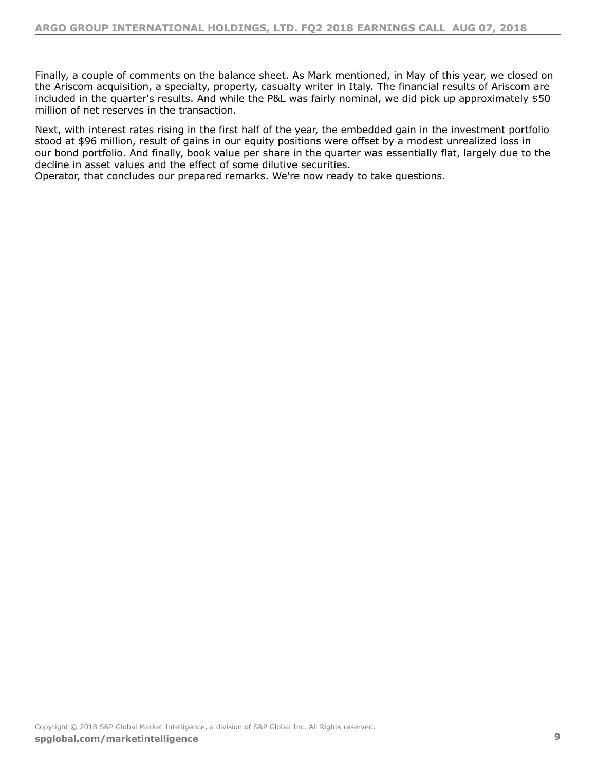Finally, a couple of comments on the balance sheet. As Mark mentioned, in May of this year, we closed on the Ariscom acquisition, a specialty, property, casualty writer in Italy. The financial results of Ariscom are included in the quarter's results. And while the P&L was fairly nominal, we did pick up approximately \$50 million of net reserves in the transaction.

Next, with interest rates rising in the first half of the year, the embedded gain in the investment portfolio stood at \$96 million, result of gains in our equity positions were offset by a modest unrealized loss in our bond portfolio. And finally, book value per share in the quarter was essentially flat, largely due to the decline in asset values and the effect of some dilutive securities.

Operator, that concludes our prepared remarks. We're now ready to take questions.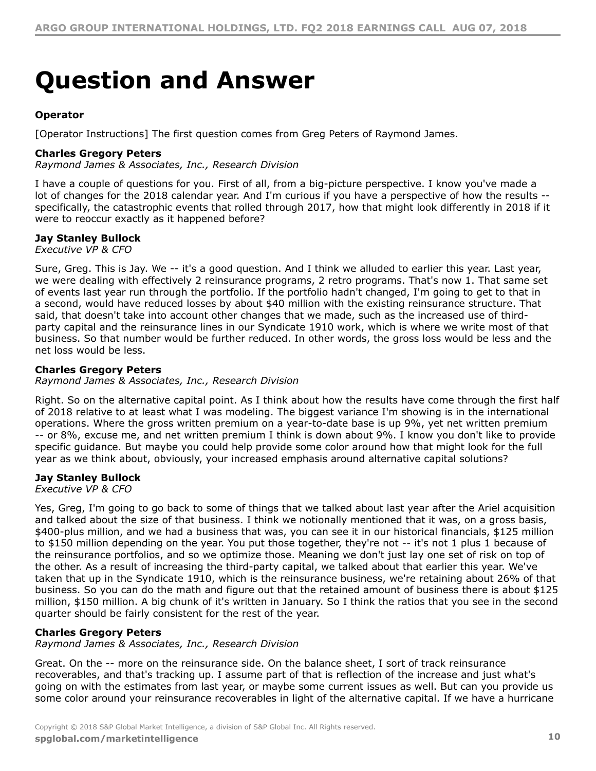# <span id="page-9-0"></span>**Question and Answer**

# **Operator**

[Operator Instructions] The first question comes from Greg Peters of Raymond James.

# **Charles Gregory Peters**

*Raymond James & Associates, Inc., Research Division*

I have a couple of questions for you. First of all, from a big-picture perspective. I know you've made a lot of changes for the 2018 calendar year. And I'm curious if you have a perspective of how the results - specifically, the catastrophic events that rolled through 2017, how that might look differently in 2018 if it were to reoccur exactly as it happened before?

# **Jay Stanley Bullock**

*Executive VP & CFO*

Sure, Greg. This is Jay. We -- it's a good question. And I think we alluded to earlier this year. Last year, we were dealing with effectively 2 reinsurance programs, 2 retro programs. That's now 1. That same set of events last year run through the portfolio. If the portfolio hadn't changed, I'm going to get to that in a second, would have reduced losses by about \$40 million with the existing reinsurance structure. That said, that doesn't take into account other changes that we made, such as the increased use of thirdparty capital and the reinsurance lines in our Syndicate 1910 work, which is where we write most of that business. So that number would be further reduced. In other words, the gross loss would be less and the net loss would be less.

# **Charles Gregory Peters**

*Raymond James & Associates, Inc., Research Division*

Right. So on the alternative capital point. As I think about how the results have come through the first half of 2018 relative to at least what I was modeling. The biggest variance I'm showing is in the international operations. Where the gross written premium on a year-to-date base is up 9%, yet net written premium -- or 8%, excuse me, and net written premium I think is down about 9%. I know you don't like to provide specific guidance. But maybe you could help provide some color around how that might look for the full year as we think about, obviously, your increased emphasis around alternative capital solutions?

# **Jay Stanley Bullock**

*Executive VP & CFO*

Yes, Greg, I'm going to go back to some of things that we talked about last year after the Ariel acquisition and talked about the size of that business. I think we notionally mentioned that it was, on a gross basis, \$400-plus million, and we had a business that was, you can see it in our historical financials, \$125 million to \$150 million depending on the year. You put those together, they're not -- it's not 1 plus 1 because of the reinsurance portfolios, and so we optimize those. Meaning we don't just lay one set of risk on top of the other. As a result of increasing the third-party capital, we talked about that earlier this year. We've taken that up in the Syndicate 1910, which is the reinsurance business, we're retaining about 26% of that business. So you can do the math and figure out that the retained amount of business there is about \$125 million, \$150 million. A big chunk of it's written in January. So I think the ratios that you see in the second quarter should be fairly consistent for the rest of the year.

# **Charles Gregory Peters**

*Raymond James & Associates, Inc., Research Division*

Great. On the -- more on the reinsurance side. On the balance sheet, I sort of track reinsurance recoverables, and that's tracking up. I assume part of that is reflection of the increase and just what's going on with the estimates from last year, or maybe some current issues as well. But can you provide us some color around your reinsurance recoverables in light of the alternative capital. If we have a hurricane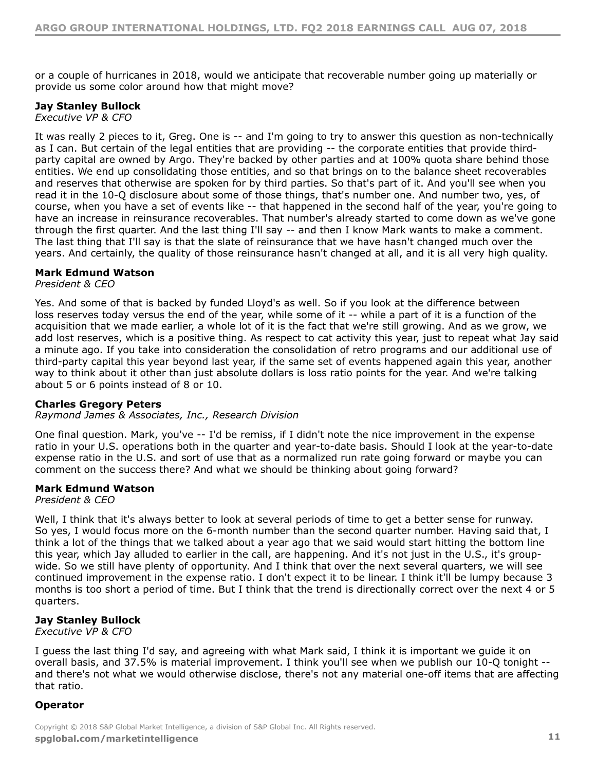or a couple of hurricanes in 2018, would we anticipate that recoverable number going up materially or provide us some color around how that might move?

# **Jay Stanley Bullock**

*Executive VP & CFO*

It was really 2 pieces to it, Greg. One is -- and I'm going to try to answer this question as non-technically as I can. But certain of the legal entities that are providing -- the corporate entities that provide thirdparty capital are owned by Argo. They're backed by other parties and at 100% quota share behind those entities. We end up consolidating those entities, and so that brings on to the balance sheet recoverables and reserves that otherwise are spoken for by third parties. So that's part of it. And you'll see when you read it in the 10-Q disclosure about some of those things, that's number one. And number two, yes, of course, when you have a set of events like -- that happened in the second half of the year, you're going to have an increase in reinsurance recoverables. That number's already started to come down as we've gone through the first quarter. And the last thing I'll say -- and then I know Mark wants to make a comment. The last thing that I'll say is that the slate of reinsurance that we have hasn't changed much over the years. And certainly, the quality of those reinsurance hasn't changed at all, and it is all very high quality.

# **Mark Edmund Watson**

# *President & CEO*

Yes. And some of that is backed by funded Lloyd's as well. So if you look at the difference between loss reserves today versus the end of the year, while some of it -- while a part of it is a function of the acquisition that we made earlier, a whole lot of it is the fact that we're still growing. And as we grow, we add lost reserves, which is a positive thing. As respect to cat activity this year, just to repeat what Jay said a minute ago. If you take into consideration the consolidation of retro programs and our additional use of third-party capital this year beyond last year, if the same set of events happened again this year, another way to think about it other than just absolute dollars is loss ratio points for the year. And we're talking about 5 or 6 points instead of 8 or 10.

# **Charles Gregory Peters**

*Raymond James & Associates, Inc., Research Division*

One final question. Mark, you've -- I'd be remiss, if I didn't note the nice improvement in the expense ratio in your U.S. operations both in the quarter and year-to-date basis. Should I look at the year-to-date expense ratio in the U.S. and sort of use that as a normalized run rate going forward or maybe you can comment on the success there? And what we should be thinking about going forward?

# **Mark Edmund Watson**

*President & CEO*

Well, I think that it's always better to look at several periods of time to get a better sense for runway. So yes, I would focus more on the 6-month number than the second quarter number. Having said that, I think a lot of the things that we talked about a year ago that we said would start hitting the bottom line this year, which Jay alluded to earlier in the call, are happening. And it's not just in the U.S., it's groupwide. So we still have plenty of opportunity. And I think that over the next several quarters, we will see continued improvement in the expense ratio. I don't expect it to be linear. I think it'll be lumpy because 3 months is too short a period of time. But I think that the trend is directionally correct over the next 4 or 5 quarters.

# **Jay Stanley Bullock**

*Executive VP & CFO*

I guess the last thing I'd say, and agreeing with what Mark said, I think it is important we guide it on overall basis, and 37.5% is material improvement. I think you'll see when we publish our 10-Q tonight - and there's not what we would otherwise disclose, there's not any material one-off items that are affecting that ratio.

# **Operator**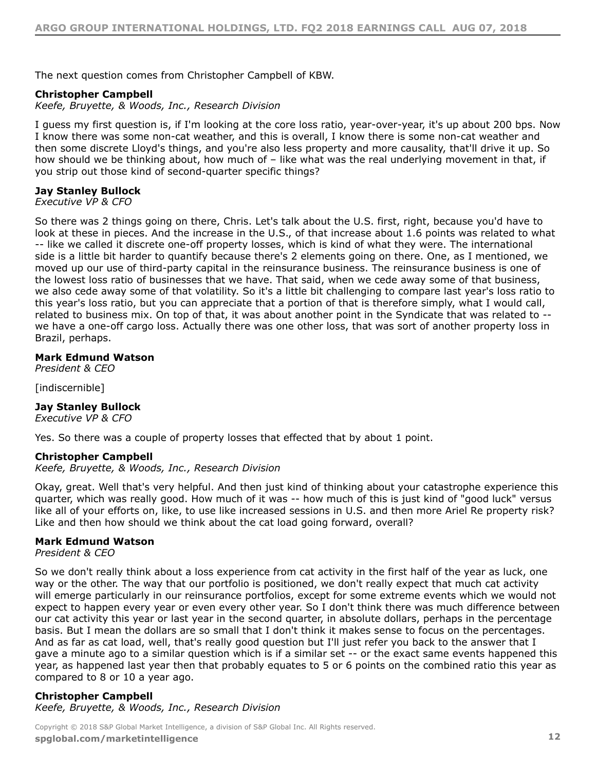The next question comes from Christopher Campbell of KBW.

# **Christopher Campbell**

*Keefe, Bruyette, & Woods, Inc., Research Division*

I guess my first question is, if I'm looking at the core loss ratio, year-over-year, it's up about 200 bps. Now I know there was some non-cat weather, and this is overall, I know there is some non-cat weather and then some discrete Lloyd's things, and you're also less property and more causality, that'll drive it up. So how should we be thinking about, how much of - like what was the real underlying movement in that, if you strip out those kind of second-quarter specific things?

# **Jay Stanley Bullock**

*Executive VP & CFO*

So there was 2 things going on there, Chris. Let's talk about the U.S. first, right, because you'd have to look at these in pieces. And the increase in the U.S., of that increase about 1.6 points was related to what -- like we called it discrete one-off property losses, which is kind of what they were. The international side is a little bit harder to quantify because there's 2 elements going on there. One, as I mentioned, we moved up our use of third-party capital in the reinsurance business. The reinsurance business is one of the lowest loss ratio of businesses that we have. That said, when we cede away some of that business, we also cede away some of that volatility. So it's a little bit challenging to compare last year's loss ratio to this year's loss ratio, but you can appreciate that a portion of that is therefore simply, what I would call, related to business mix. On top of that, it was about another point in the Syndicate that was related to - we have a one-off cargo loss. Actually there was one other loss, that was sort of another property loss in Brazil, perhaps.

# **Mark Edmund Watson**

*President & CEO*

[indiscernible]

# **Jay Stanley Bullock**

*Executive VP & CFO*

Yes. So there was a couple of property losses that effected that by about 1 point.

# **Christopher Campbell**

*Keefe, Bruyette, & Woods, Inc., Research Division*

Okay, great. Well that's very helpful. And then just kind of thinking about your catastrophe experience this quarter, which was really good. How much of it was -- how much of this is just kind of "good luck" versus like all of your efforts on, like, to use like increased sessions in U.S. and then more Ariel Re property risk? Like and then how should we think about the cat load going forward, overall?

# **Mark Edmund Watson**

*President & CEO*

So we don't really think about a loss experience from cat activity in the first half of the year as luck, one way or the other. The way that our portfolio is positioned, we don't really expect that much cat activity will emerge particularly in our reinsurance portfolios, except for some extreme events which we would not expect to happen every year or even every other year. So I don't think there was much difference between our cat activity this year or last year in the second quarter, in absolute dollars, perhaps in the percentage basis. But I mean the dollars are so small that I don't think it makes sense to focus on the percentages. And as far as cat load, well, that's really good question but I'll just refer you back to the answer that I gave a minute ago to a similar question which is if a similar set -- or the exact same events happened this year, as happened last year then that probably equates to 5 or 6 points on the combined ratio this year as compared to 8 or 10 a year ago.

# **Christopher Campbell** *Keefe, Bruyette, & Woods, Inc., Research Division*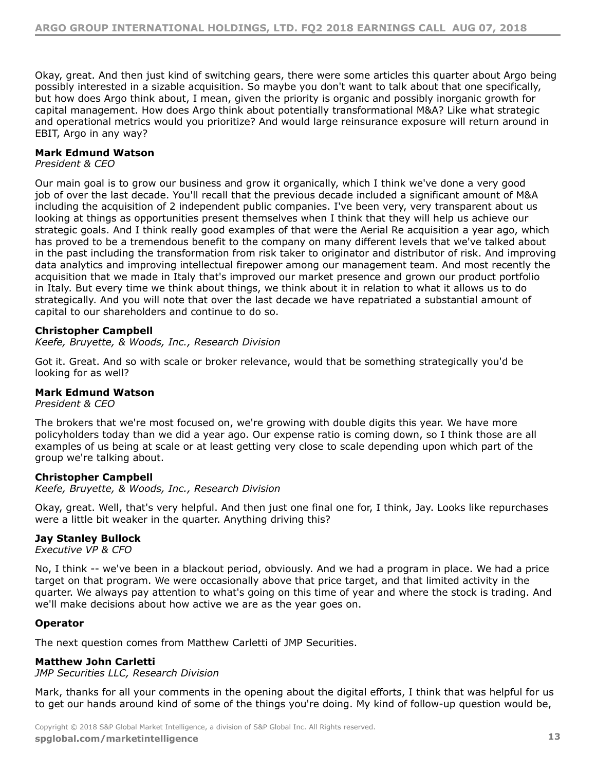Okay, great. And then just kind of switching gears, there were some articles this quarter about Argo being possibly interested in a sizable acquisition. So maybe you don't want to talk about that one specifically, but how does Argo think about, I mean, given the priority is organic and possibly inorganic growth for capital management. How does Argo think about potentially transformational M&A? Like what strategic and operational metrics would you prioritize? And would large reinsurance exposure will return around in EBIT, Argo in any way?

# **Mark Edmund Watson**

# *President & CEO*

Our main goal is to grow our business and grow it organically, which I think we've done a very good job of over the last decade. You'll recall that the previous decade included a significant amount of M&A including the acquisition of 2 independent public companies. I've been very, very transparent about us looking at things as opportunities present themselves when I think that they will help us achieve our strategic goals. And I think really good examples of that were the Aerial Re acquisition a year ago, which has proved to be a tremendous benefit to the company on many different levels that we've talked about in the past including the transformation from risk taker to originator and distributor of risk. And improving data analytics and improving intellectual firepower among our management team. And most recently the acquisition that we made in Italy that's improved our market presence and grown our product portfolio in Italy. But every time we think about things, we think about it in relation to what it allows us to do strategically. And you will note that over the last decade we have repatriated a substantial amount of capital to our shareholders and continue to do so.

# **Christopher Campbell**

*Keefe, Bruyette, & Woods, Inc., Research Division*

Got it. Great. And so with scale or broker relevance, would that be something strategically you'd be looking for as well?

# **Mark Edmund Watson**

*President & CEO*

The brokers that we're most focused on, we're growing with double digits this year. We have more policyholders today than we did a year ago. Our expense ratio is coming down, so I think those are all examples of us being at scale or at least getting very close to scale depending upon which part of the group we're talking about.

# **Christopher Campbell**

*Keefe, Bruyette, & Woods, Inc., Research Division*

Okay, great. Well, that's very helpful. And then just one final one for, I think, Jay. Looks like repurchases were a little bit weaker in the quarter. Anything driving this?

# **Jay Stanley Bullock**

*Executive VP & CFO*

No, I think -- we've been in a blackout period, obviously. And we had a program in place. We had a price target on that program. We were occasionally above that price target, and that limited activity in the quarter. We always pay attention to what's going on this time of year and where the stock is trading. And we'll make decisions about how active we are as the year goes on.

# **Operator**

The next question comes from Matthew Carletti of JMP Securities.

# **Matthew John Carletti**

*JMP Securities LLC, Research Division*

Mark, thanks for all your comments in the opening about the digital efforts, I think that was helpful for us to get our hands around kind of some of the things you're doing. My kind of follow-up question would be,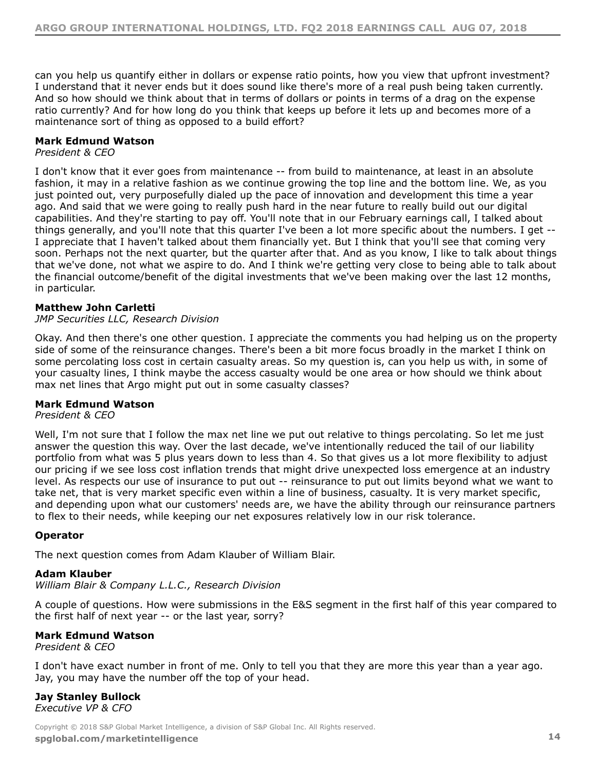can you help us quantify either in dollars or expense ratio points, how you view that upfront investment? I understand that it never ends but it does sound like there's more of a real push being taken currently. And so how should we think about that in terms of dollars or points in terms of a drag on the expense ratio currently? And for how long do you think that keeps up before it lets up and becomes more of a maintenance sort of thing as opposed to a build effort?

# **Mark Edmund Watson**

*President & CEO*

I don't know that it ever goes from maintenance -- from build to maintenance, at least in an absolute fashion, it may in a relative fashion as we continue growing the top line and the bottom line. We, as you just pointed out, very purposefully dialed up the pace of innovation and development this time a year ago. And said that we were going to really push hard in the near future to really build out our digital capabilities. And they're starting to pay off. You'll note that in our February earnings call, I talked about things generally, and you'll note that this quarter I've been a lot more specific about the numbers. I get -- I appreciate that I haven't talked about them financially yet. But I think that you'll see that coming very soon. Perhaps not the next quarter, but the quarter after that. And as you know, I like to talk about things that we've done, not what we aspire to do. And I think we're getting very close to being able to talk about the financial outcome/benefit of the digital investments that we've been making over the last 12 months, in particular.

# **Matthew John Carletti**

# *JMP Securities LLC, Research Division*

Okay. And then there's one other question. I appreciate the comments you had helping us on the property side of some of the reinsurance changes. There's been a bit more focus broadly in the market I think on some percolating loss cost in certain casualty areas. So my question is, can you help us with, in some of your casualty lines, I think maybe the access casualty would be one area or how should we think about max net lines that Argo might put out in some casualty classes?

# **Mark Edmund Watson**

# *President & CEO*

Well, I'm not sure that I follow the max net line we put out relative to things percolating. So let me just answer the question this way. Over the last decade, we've intentionally reduced the tail of our liability portfolio from what was 5 plus years down to less than 4. So that gives us a lot more flexibility to adjust our pricing if we see loss cost inflation trends that might drive unexpected loss emergence at an industry level. As respects our use of insurance to put out -- reinsurance to put out limits beyond what we want to take net, that is very market specific even within a line of business, casualty. It is very market specific, and depending upon what our customers' needs are, we have the ability through our reinsurance partners to flex to their needs, while keeping our net exposures relatively low in our risk tolerance.

# **Operator**

The next question comes from Adam Klauber of William Blair.

# **Adam Klauber**

*William Blair & Company L.L.C., Research Division*

A couple of questions. How were submissions in the E&S segment in the first half of this year compared to the first half of next year -- or the last year, sorry?

# **Mark Edmund Watson**

*President & CEO*

I don't have exact number in front of me. Only to tell you that they are more this year than a year ago. Jay, you may have the number off the top of your head.

# **Jay Stanley Bullock** *Executive VP & CFO*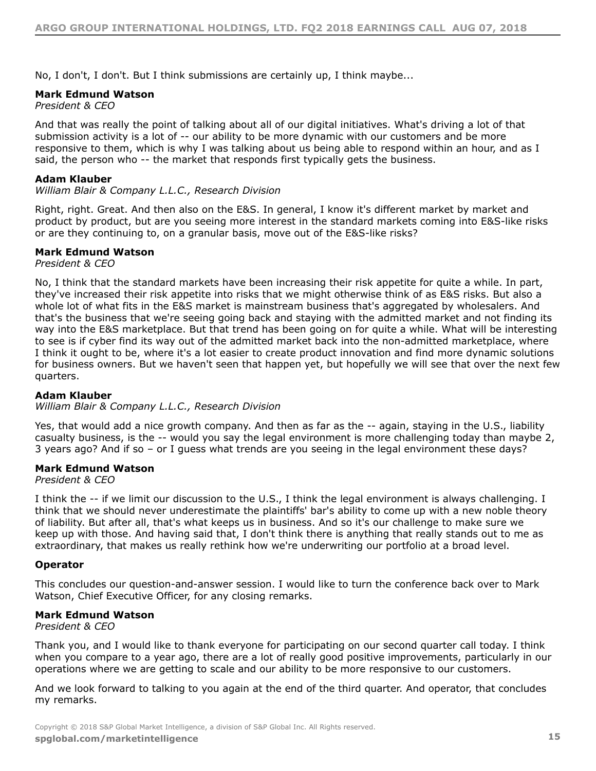No, I don't, I don't. But I think submissions are certainly up, I think maybe...

# **Mark Edmund Watson**

*President & CEO*

And that was really the point of talking about all of our digital initiatives. What's driving a lot of that submission activity is a lot of  $-$ - our ability to be more dynamic with our customers and be more responsive to them, which is why I was talking about us being able to respond within an hour, and as I said, the person who -- the market that responds first typically gets the business.

# **Adam Klauber**

# *William Blair & Company L.L.C., Research Division*

Right, right. Great. And then also on the E&S. In general, I know it's different market by market and product by product, but are you seeing more interest in the standard markets coming into E&S-like risks or are they continuing to, on a granular basis, move out of the E&S-like risks?

# **Mark Edmund Watson**

*President & CEO*

No, I think that the standard markets have been increasing their risk appetite for quite a while. In part, they've increased their risk appetite into risks that we might otherwise think of as E&S risks. But also a whole lot of what fits in the E&S market is mainstream business that's aggregated by wholesalers. And that's the business that we're seeing going back and staying with the admitted market and not finding its way into the E&S marketplace. But that trend has been going on for quite a while. What will be interesting to see is if cyber find its way out of the admitted market back into the non-admitted marketplace, where I think it ought to be, where it's a lot easier to create product innovation and find more dynamic solutions for business owners. But we haven't seen that happen yet, but hopefully we will see that over the next few quarters.

# **Adam Klauber**

# *William Blair & Company L.L.C., Research Division*

Yes, that would add a nice growth company. And then as far as the -- again, staying in the U.S., liability casualty business, is the -- would you say the legal environment is more challenging today than maybe 2, 3 years ago? And if so – or I guess what trends are you seeing in the legal environment these days?

# **Mark Edmund Watson**

*President & CEO*

I think the -- if we limit our discussion to the U.S., I think the legal environment is always challenging. I think that we should never underestimate the plaintiffs' bar's ability to come up with a new noble theory of liability. But after all, that's what keeps us in business. And so it's our challenge to make sure we keep up with those. And having said that, I don't think there is anything that really stands out to me as extraordinary, that makes us really rethink how we're underwriting our portfolio at a broad level.

# **Operator**

This concludes our question-and-answer session. I would like to turn the conference back over to Mark Watson, Chief Executive Officer, for any closing remarks.

# **Mark Edmund Watson**

*President & CEO*

Thank you, and I would like to thank everyone for participating on our second quarter call today. I think when you compare to a year ago, there are a lot of really good positive improvements, particularly in our operations where we are getting to scale and our ability to be more responsive to our customers.

And we look forward to talking to you again at the end of the third quarter. And operator, that concludes my remarks.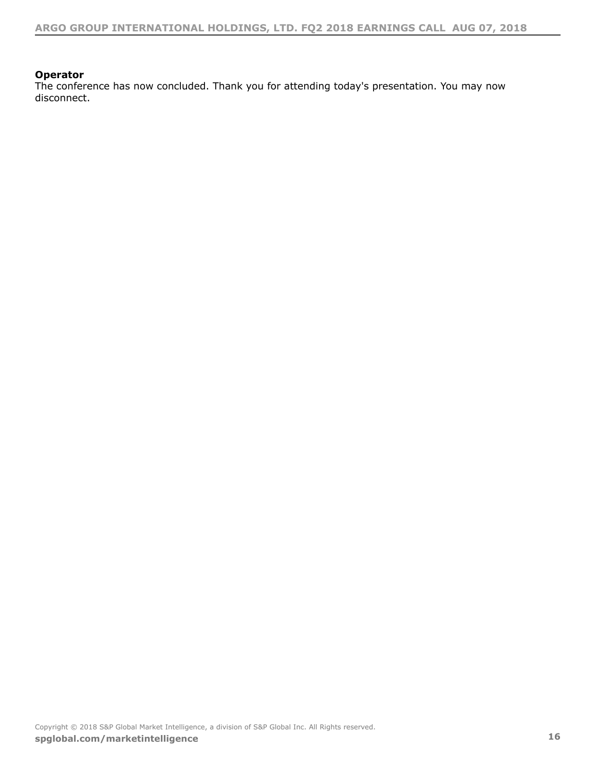# **Operator**

The conference has now concluded. Thank you for attending today's presentation. You may now disconnect.